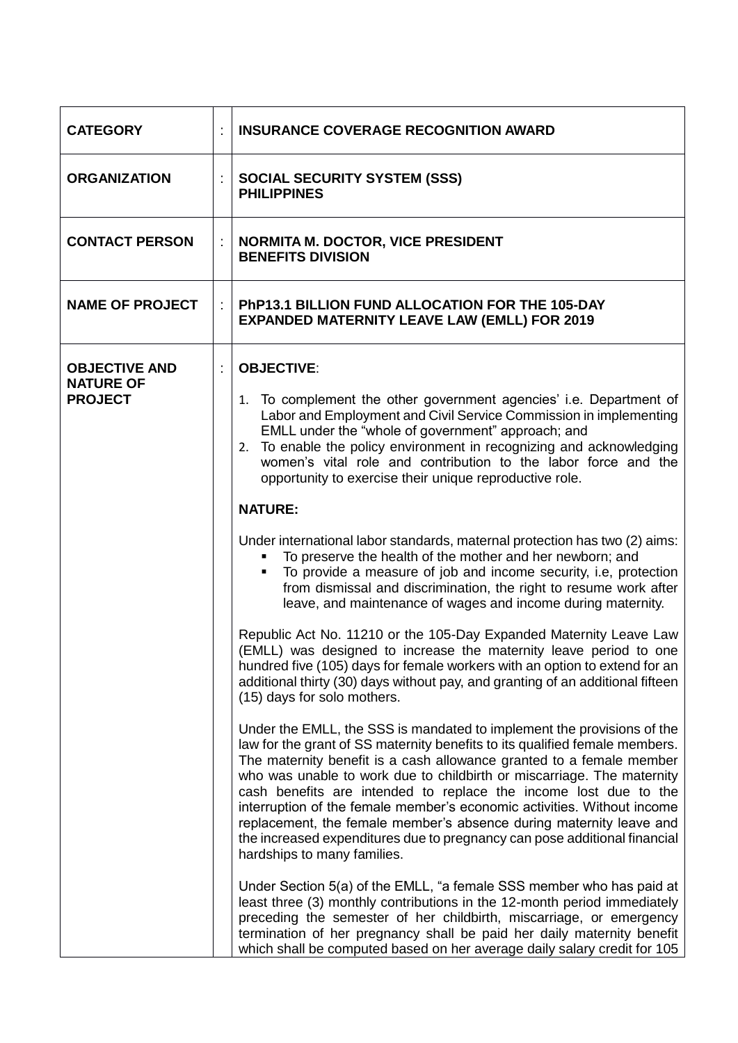| <b>CATEGORY</b>                                            | <b>INSURANCE COVERAGE RECOGNITION AWARD</b>                                                                                                                                                                                                                                                                                                                                                                                                                                                                                                                                                                                               |
|------------------------------------------------------------|-------------------------------------------------------------------------------------------------------------------------------------------------------------------------------------------------------------------------------------------------------------------------------------------------------------------------------------------------------------------------------------------------------------------------------------------------------------------------------------------------------------------------------------------------------------------------------------------------------------------------------------------|
| <b>ORGANIZATION</b>                                        | <b>SOCIAL SECURITY SYSTEM (SSS)</b><br><b>PHILIPPINES</b>                                                                                                                                                                                                                                                                                                                                                                                                                                                                                                                                                                                 |
| <b>CONTACT PERSON</b>                                      | <b>NORMITA M. DOCTOR, VICE PRESIDENT</b><br><b>BENEFITS DIVISION</b>                                                                                                                                                                                                                                                                                                                                                                                                                                                                                                                                                                      |
| <b>NAME OF PROJECT</b>                                     | PhP13.1 BILLION FUND ALLOCATION FOR THE 105-DAY<br><b>EXPANDED MATERNITY LEAVE LAW (EMLL) FOR 2019</b>                                                                                                                                                                                                                                                                                                                                                                                                                                                                                                                                    |
| <b>OBJECTIVE AND</b><br><b>NATURE OF</b><br><b>PROJECT</b> | <b>OBJECTIVE:</b>                                                                                                                                                                                                                                                                                                                                                                                                                                                                                                                                                                                                                         |
|                                                            | 1. To complement the other government agencies' i.e. Department of<br>Labor and Employment and Civil Service Commission in implementing<br>EMLL under the "whole of government" approach; and<br>To enable the policy environment in recognizing and acknowledging<br>2.<br>women's vital role and contribution to the labor force and the<br>opportunity to exercise their unique reproductive role.                                                                                                                                                                                                                                     |
|                                                            | <b>NATURE:</b>                                                                                                                                                                                                                                                                                                                                                                                                                                                                                                                                                                                                                            |
|                                                            | Under international labor standards, maternal protection has two (2) aims:<br>To preserve the health of the mother and her newborn; and<br>To provide a measure of job and income security, i.e, protection<br>$\blacksquare$<br>from dismissal and discrimination, the right to resume work after<br>leave, and maintenance of wages and income during maternity.                                                                                                                                                                                                                                                                        |
|                                                            | Republic Act No. 11210 or the 105-Day Expanded Maternity Leave Law<br>(EMLL) was designed to increase the maternity leave period to one<br>hundred five (105) days for female workers with an option to extend for an<br>additional thirty (30) days without pay, and granting of an additional fifteen<br>(15) days for solo mothers.                                                                                                                                                                                                                                                                                                    |
|                                                            | Under the EMLL, the SSS is mandated to implement the provisions of the<br>law for the grant of SS maternity benefits to its qualified female members.<br>The maternity benefit is a cash allowance granted to a female member<br>who was unable to work due to childbirth or miscarriage. The maternity<br>cash benefits are intended to replace the income lost due to the<br>interruption of the female member's economic activities. Without income<br>replacement, the female member's absence during maternity leave and<br>the increased expenditures due to pregnancy can pose additional financial<br>hardships to many families. |
|                                                            | Under Section 5(a) of the EMLL, "a female SSS member who has paid at<br>least three (3) monthly contributions in the 12-month period immediately<br>preceding the semester of her childbirth, miscarriage, or emergency<br>termination of her pregnancy shall be paid her daily maternity benefit<br>which shall be computed based on her average daily salary credit for 105                                                                                                                                                                                                                                                             |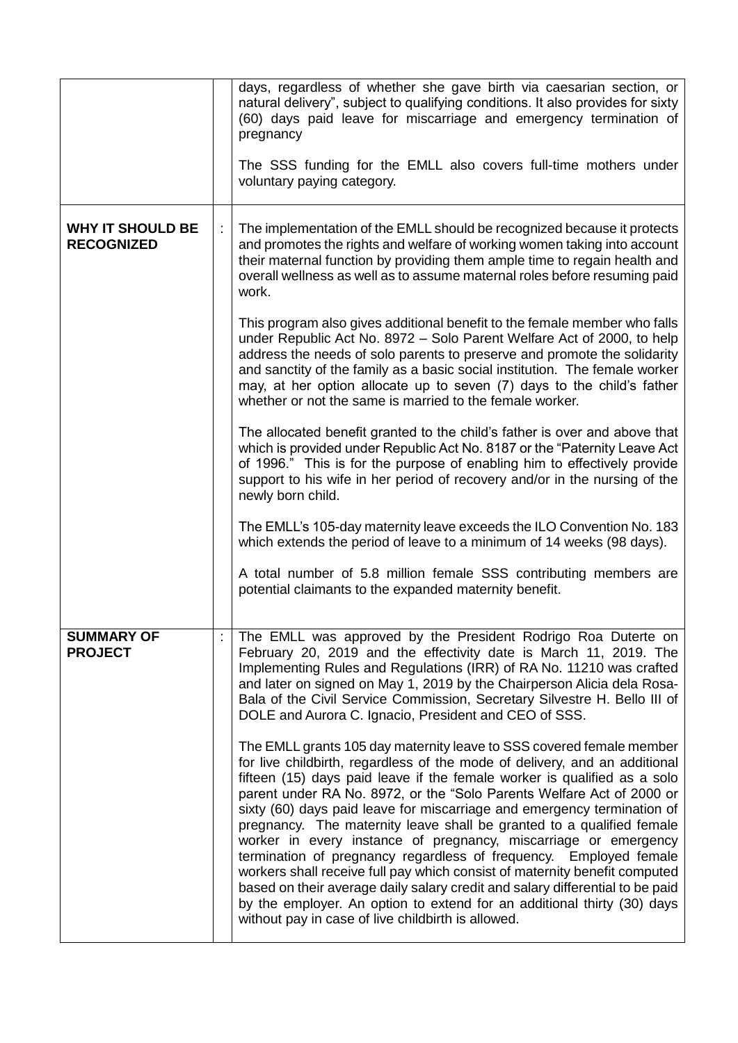|                                              | days, regardless of whether she gave birth via caesarian section, or<br>natural delivery", subject to qualifying conditions. It also provides for sixty<br>(60) days paid leave for miscarriage and emergency termination of<br>pregnancy<br>The SSS funding for the EMLL also covers full-time mothers under<br>voluntary paying category.                                                                                                                                                                                                                                                                                                                                                                                                                                                                                                                                                         |
|----------------------------------------------|-----------------------------------------------------------------------------------------------------------------------------------------------------------------------------------------------------------------------------------------------------------------------------------------------------------------------------------------------------------------------------------------------------------------------------------------------------------------------------------------------------------------------------------------------------------------------------------------------------------------------------------------------------------------------------------------------------------------------------------------------------------------------------------------------------------------------------------------------------------------------------------------------------|
| <b>WHY IT SHOULD BE</b><br><b>RECOGNIZED</b> | The implementation of the EMLL should be recognized because it protects<br>and promotes the rights and welfare of working women taking into account<br>their maternal function by providing them ample time to regain health and<br>overall wellness as well as to assume maternal roles before resuming paid<br>work.                                                                                                                                                                                                                                                                                                                                                                                                                                                                                                                                                                              |
|                                              | This program also gives additional benefit to the female member who falls<br>under Republic Act No. 8972 - Solo Parent Welfare Act of 2000, to help<br>address the needs of solo parents to preserve and promote the solidarity<br>and sanctity of the family as a basic social institution. The female worker<br>may, at her option allocate up to seven (7) days to the child's father<br>whether or not the same is married to the female worker.                                                                                                                                                                                                                                                                                                                                                                                                                                                |
|                                              | The allocated benefit granted to the child's father is over and above that<br>which is provided under Republic Act No. 8187 or the "Paternity Leave Act<br>of 1996." This is for the purpose of enabling him to effectively provide<br>support to his wife in her period of recovery and/or in the nursing of the<br>newly born child.                                                                                                                                                                                                                                                                                                                                                                                                                                                                                                                                                              |
|                                              | The EMLL's 105-day maternity leave exceeds the ILO Convention No. 183<br>which extends the period of leave to a minimum of 14 weeks (98 days).                                                                                                                                                                                                                                                                                                                                                                                                                                                                                                                                                                                                                                                                                                                                                      |
|                                              | A total number of 5.8 million female SSS contributing members are<br>potential claimants to the expanded maternity benefit.                                                                                                                                                                                                                                                                                                                                                                                                                                                                                                                                                                                                                                                                                                                                                                         |
| <b>SUMMARY OF</b><br><b>PROJECT</b>          | The EMLL was approved by the President Rodrigo Roa Duterte on<br>February 20, 2019 and the effectivity date is March 11, 2019. The<br>Implementing Rules and Regulations (IRR) of RA No. 11210 was crafted<br>and later on signed on May 1, 2019 by the Chairperson Alicia dela Rosa-<br>Bala of the Civil Service Commission, Secretary Silvestre H. Bello III of<br>DOLE and Aurora C. Ignacio, President and CEO of SSS.                                                                                                                                                                                                                                                                                                                                                                                                                                                                         |
|                                              | The EMLL grants 105 day maternity leave to SSS covered female member<br>for live childbirth, regardless of the mode of delivery, and an additional<br>fifteen (15) days paid leave if the female worker is qualified as a solo<br>parent under RA No. 8972, or the "Solo Parents Welfare Act of 2000 or<br>sixty (60) days paid leave for miscarriage and emergency termination of<br>pregnancy. The maternity leave shall be granted to a qualified female<br>worker in every instance of pregnancy, miscarriage or emergency<br>termination of pregnancy regardless of frequency. Employed female<br>workers shall receive full pay which consist of maternity benefit computed<br>based on their average daily salary credit and salary differential to be paid<br>by the employer. An option to extend for an additional thirty (30) days<br>without pay in case of live childbirth is allowed. |